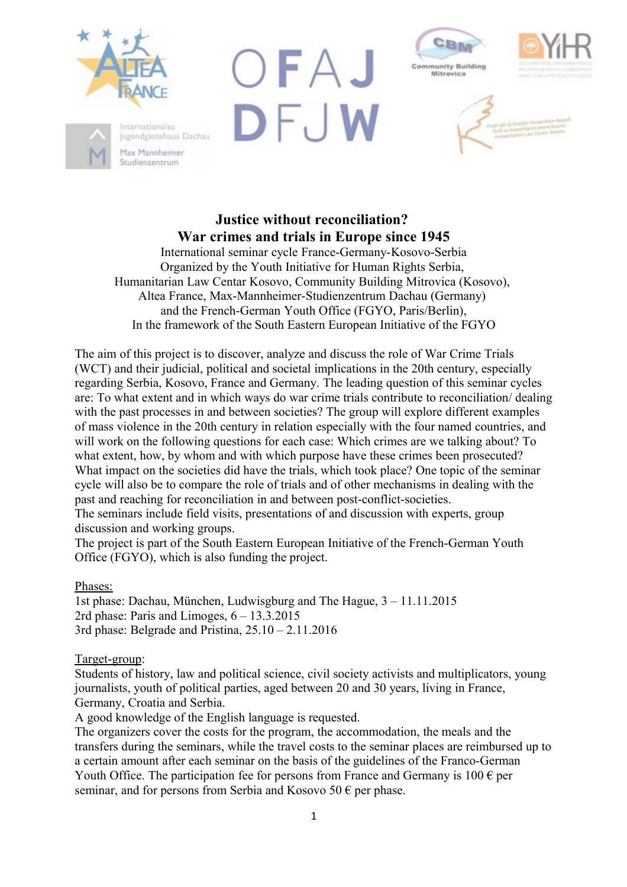

Max Mannheimer Studienzentrum







# **Justice without reconciliation? War crimes and trials in Europe since 1945**

International seminar cycle France-Germany-Kosovo-Serbia Organized by the Youth Initiative for Human Rights Serbia, Humanitarian Law Centar Kosovo, Community Building Mitrovica (Kosovo), Altea France, Max-Mannheimer-Studienzentrum Dachau (Germany) and the French-German Youth Office (FGYO, Paris/Berlin), In the framework of the South Eastern European Initiative of the FGYO

The aim of this project is to discover, analyze and discuss the role of War Crime Trials (WCT) and their judicial, political and societal implications in the 20th century, especially regarding Serbia, Kosovo, France and Germany. The leading question of this seminar cycles are: To what extent and in which ways do war crime trials contribute to reconciliation/ dealing with the past processes in and between societies? The group will explore different examples of mass violence in the 20th century in relation especially with the four named countries, and will work on the following questions for each case: Which crimes are we talking about? To what extent, how, by whom and with which purpose have these crimes been prosecuted? What impact on the societies did have the trials, which took place? One topic of the seminar cycle will also be to compare the role of trials and of other mechanisms in dealing with the past and reaching for reconciliation in and between post-conflict-societies.

The seminars include field visits, presentations of and discussion with experts, group discussion and working groups.

The project is part of the South Eastern European Initiative of the French-German Youth Office (FGYO), which is also funding the project.

Phases:

1st phase: Dachau, München, Ludwisgburg and The Hague, 3 – 11.11.2015 2rd phase: Paris and Limoges,  $6 - 13.3.2015$ 3rd phase: Belgrade and Pristina, 25.10 – 2.11.2016

Target-group:

Students of history, law and political science, civil society activists and multiplicators, young journalists, youth of political parties, aged between 20 and 30 years, living in France, Germany, Croatia and Serbia.

A good knowledge of the English language is requested.

The organizers cover the costs for the program, the accommodation, the meals and the transfers during the seminars, while the travel costs to the seminar places are reimbursed up to a certain amount after each seminar on the basis of the guidelines of the Franco-German Youth Office. The participation fee for persons from France and Germany is  $100 \epsilon$  per seminar, and for persons from Serbia and Kosovo 50  $\epsilon$  per phase.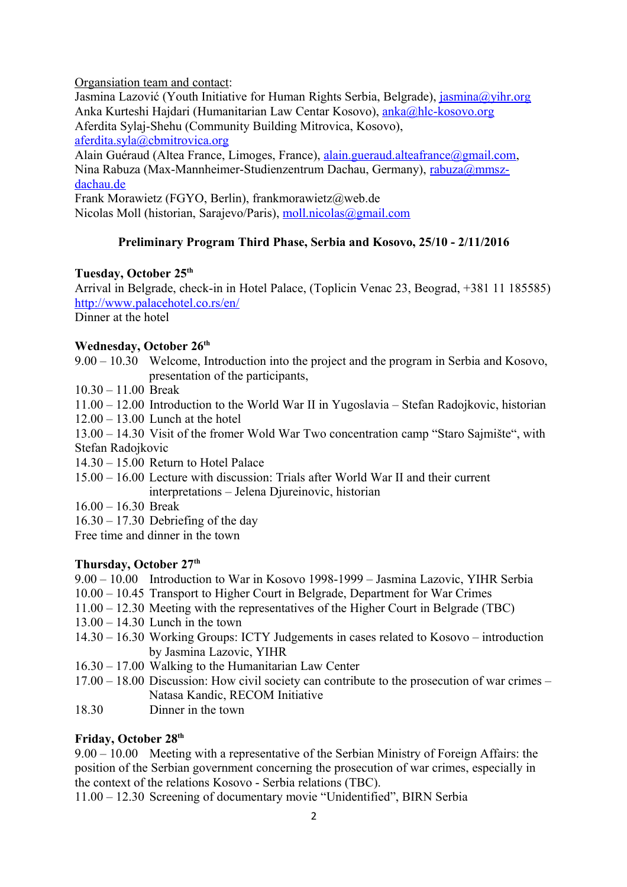Organsiation team and contact:

Jasmina Lazović (Youth Initiative for Human Rights Serbia, Belgrade), [jasmina@yihr.org](mailto:jasmina@yihr.org) Anka Kurteshi Hajdari (Humanitarian Law Centar Kosovo), [anka@hlc-kosovo.org](mailto:anka@hlc-kosovo.org)  Aferdita Sylaj-Shehu (Community Building Mitrovica, Kosovo), [aferdita.syla@cbmitrovica.org](mailto:aferdita.syla@cbmitrovica.org)

Alain Guéraud (Altea France, Limoges, France), [alain.gueraud.alteafrance@gmail.com,](mailto:alain.gueraud.alteafrance@gmail.com) Nina Rabuza (Max-Mannheimer-Studienzentrum Dachau, Germany), [rabuza@mmsz](mailto:rabuza@mmsz-dachau.de)[dachau.de](mailto:rabuza@mmsz-dachau.de)

Frank Morawietz (FGYO, Berlin), frankmorawietz@web.de Nicolas Moll (historian, Sarajevo/Paris), [moll.nicolas@gmail.com](mailto:moll.nicolas@gmail.com)

# **Preliminary Program Third Phase, Serbia and Kosovo, 25/10 - 2/11/2016**

## **Tuesday, October 25th**

Arrival in Belgrade, check-in in Hotel Palace, (Toplicin Venac 23, Beograd, +381 11 185585) <http://www.palacehotel.co.rs/en/>

Dinner at the hotel

# **Wednesday, October 26th**

- 9.00 10.30 Welcome, Introduction into the project and the program in Serbia and Kosovo, presentation of the participants,
- 10.30 11.00 Break
- 11.00 12.00 Introduction to the World War II in Yugoslavia Stefan Radojkovic, historian
- 12.00 13.00 Lunch at the hotel

13.00 – 14.30 Visit of the fromer Wold War Two concentration camp "Staro Sajmište", with Stefan Radojkovic

- 14.30 15.00 Return to Hotel Palace
- 15.00 16.00 Lecture with discussion: Trials after World War II and their current interpretations – Jelena Djureinovic, historian
- 16.00 16.30 Break
- $16.30 17.30$  Debriefing of the day

Free time and dinner in the town

# **Thursday, October 27th**

- 9.00 10.00 Introduction to War in Kosovo 1998-1999 Jasmina Lazovic, YIHR Serbia
- 10.00 10.45 Transport to Higher Court in Belgrade, Department for War Crimes
- 11.00 12.30 Meeting with the representatives of the Higher Court in Belgrade (TBC)
- 13.00 14.30 Lunch in the town
- 14.30 16.30 Working Groups: ICTY Judgements in cases related to Kosovo introduction by Jasmina Lazovic, YIHR
- 16.30 17.00 Walking to the Humanitarian Law Center
- 17.00 18.00 Discussion: How civil society can contribute to the prosecution of war crimes Natasa Kandic, RECOM Initiative
- 18.30 Dinner in the town

# **Friday, October 28th**

9.00 – 10.00 Meeting with a representative of the Serbian Ministry of Foreign Affairs: the position of the Serbian government concerning the prosecution of war crimes, especially in the context of the relations Kosovo - Serbia relations (TBC).

11.00 – 12.30 Screening of documentary movie "Unidentified", BIRN Serbia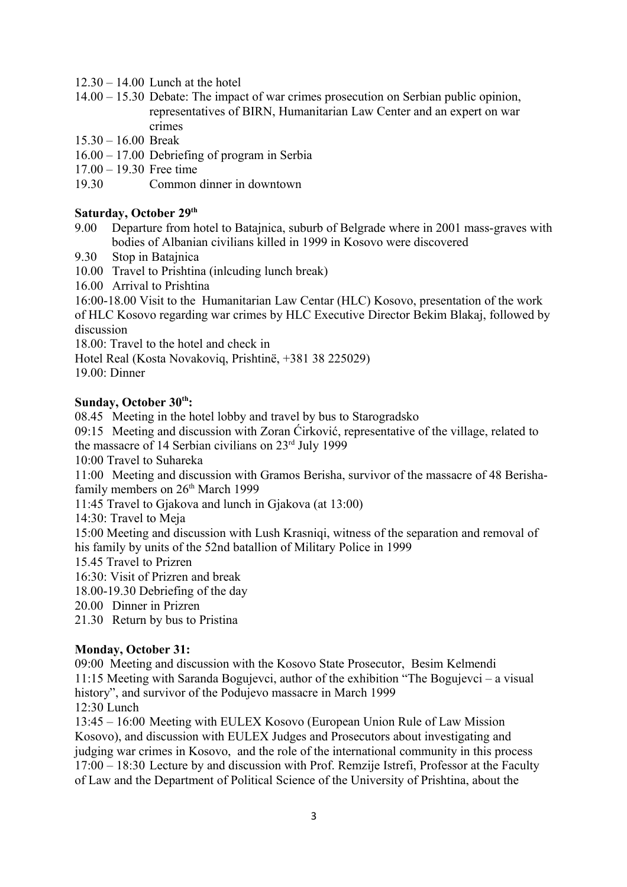- $12.30 14.00$  Lunch at the hotel
- 14.00 15.30 Debate: The impact of war crimes prosecution on Serbian public opinion, representatives of BIRN, Humanitarian Law Center and an expert on war crimes
- 15.30 16.00 Break
- 16.00 17.00 Debriefing of program in Serbia
- 17.00 19.30 Free time
- 19.30 Common dinner in downtown

## **Saturday, October 29th**

- 9.00 Departure from hotel to Batajnica, suburb of Belgrade where in 2001 mass-graves with bodies of Albanian civilians killed in 1999 in Kosovo were discovered
- 9.30 Stop in Batajnica
- 10.00 Travel to Prishtina (inlcuding lunch break)
- 16.00 Arrival to Prishtina

16:00-18.00 Visit to the Humanitarian Law Centar (HLC) Kosovo, presentation of the work of HLC Kosovo regarding war crimes by HLC Executive Director Bekim Blakaj, followed by discussion

18.00: Travel to the hotel and check in

Hotel Real (Kosta Novakoviq, Prishtinë, +381 38 225029)

19.00: Dinner

#### **Sunday, October 30th:**

08.45 Meeting in the hotel lobby and travel by bus to Starogradsko

09:15 Meeting and discussion with Zoran Ćirković, representative of the village, related to the massacre of 14 Serbian civilians on 23rd July 1999

10:00 Travel to Suhareka

11:00 Meeting and discussion with Gramos Berisha, survivor of the massacre of 48 Berishafamily members on 26<sup>th</sup> March 1999

11:45 Travel to Gjakova and lunch in Gjakova (at 13:00)

14:30: Travel to Meja

15:00 Meeting and discussion with Lush Krasniqi, witness of the separation and removal of his family by units of the 52nd batallion of Military Police in 1999

15.45 Travel to Prizren

16:30: Visit of Prizren and break

18.00-19.30 Debriefing of the day

20.00 Dinner in Prizren

21.30 Return by bus to Pristina

#### **Monday, October 31:**

09:00 Meeting and discussion with the Kosovo State Prosecutor, Besim Kelmendi 11:15 Meeting with Saranda Bogujevci, author of the exhibition "The Bogujevci – a visual history", and survivor of the Podujevo massacre in March 1999 12:30 Lunch

13:45 – 16:00 Meeting with EULEX Kosovo (European Union Rule of Law Mission Kosovo), and discussion with EULEX Judges and Prosecutors about investigating and judging war crimes in Kosovo, and the role of the international community in this process 17:00 – 18:30 Lecture by and discussion with Prof. Remzije Istrefi, Professor at the Faculty of Law and the Department of Political Science of the University of Prishtina, about the